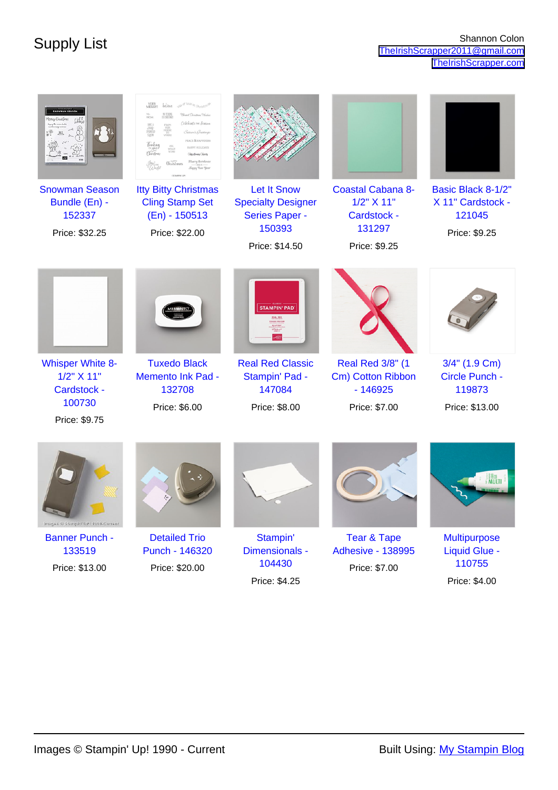|                                                                    | VERY<br>MERRYI<br>of love or Ghristino<br>believe<br>NO PEEDONG<br>TIL CHROCHER<br>Blessed Christmas Wishes<br>Celebrate nu Season<br>FROM<br>OUR<br>HOUSE<br>YOURS<br>Suzzeri Creetin<br>PEACE & HAPPINES<br>HAPPY HOLIDAYS<br><b>Chaidmas Chees</b><br><b>Silvery Christmas</b><br><i>Christma</i><br>Kuppy Your Your |                                                                                                      |                                                                                  |                                                                    |
|--------------------------------------------------------------------|-------------------------------------------------------------------------------------------------------------------------------------------------------------------------------------------------------------------------------------------------------------------------------------------------------------------------|------------------------------------------------------------------------------------------------------|----------------------------------------------------------------------------------|--------------------------------------------------------------------|
| <b>Snowman Season</b><br>Bundle (En) -<br>152337<br>Price: \$32.25 | <b>Itty Bitty Christmas</b><br><b>Cling Stamp Set</b><br>(En) - 150513<br>Price: \$22.00                                                                                                                                                                                                                                | <b>Let It Snow</b><br><b>Specialty Designer</b><br><b>Series Paper -</b><br>150393<br>Price: \$14.50 | <b>Coastal Cabana 8-</b><br>1/2" X 11"<br>Cardstock -<br>131297<br>Price: \$9.25 | Basic Black 8-1/2"<br>X 11" Cardstock -<br>121045<br>Price: \$9.25 |
|                                                                    |                                                                                                                                                                                                                                                                                                                         | <b>STAMPIN' PAD</b>                                                                                  |                                                                                  |                                                                    |
| <b>Whisper White 8-</b><br>1/2" X 11"<br>Cardstock -               | <b>Tuxedo Black</b><br><b>Memento Ink Pad -</b><br>132708                                                                                                                                                                                                                                                               | <b>Real Red Classic</b><br>Stampin' Pad -<br>147084                                                  | Real Red 3/8" (1<br>Cm) Cotton Ribbon<br>$-146925$                               | 3/4" (1.9 Cm)<br>Circle Punch -<br>119873                          |
| 100730<br>Price: \$9.75                                            | Price: \$6.00                                                                                                                                                                                                                                                                                                           | Price: \$8.00                                                                                        | Price: \$7.00                                                                    | Price: \$13.00                                                     |
| Images ® Stampin' UP! 1990-Current                                 |                                                                                                                                                                                                                                                                                                                         |                                                                                                      |                                                                                  |                                                                    |
| <b>Banner Punch -</b>                                              | <b>Detailed Trio</b>                                                                                                                                                                                                                                                                                                    | Stampin'                                                                                             | <b>Tear &amp; Tape</b>                                                           | <b>Multipurpose</b>                                                |
| 133519<br>Price: \$13.00                                           | Punch - 146320<br>Price: \$20.00                                                                                                                                                                                                                                                                                        | Dimensionals -<br>104430                                                                             | <b>Adhesive - 138995</b><br>Price: \$7.00                                        | <b>Liquid Glue -</b><br>110755                                     |
|                                                                    |                                                                                                                                                                                                                                                                                                                         | Price: \$4.25                                                                                        |                                                                                  | Price: \$4.00                                                      |